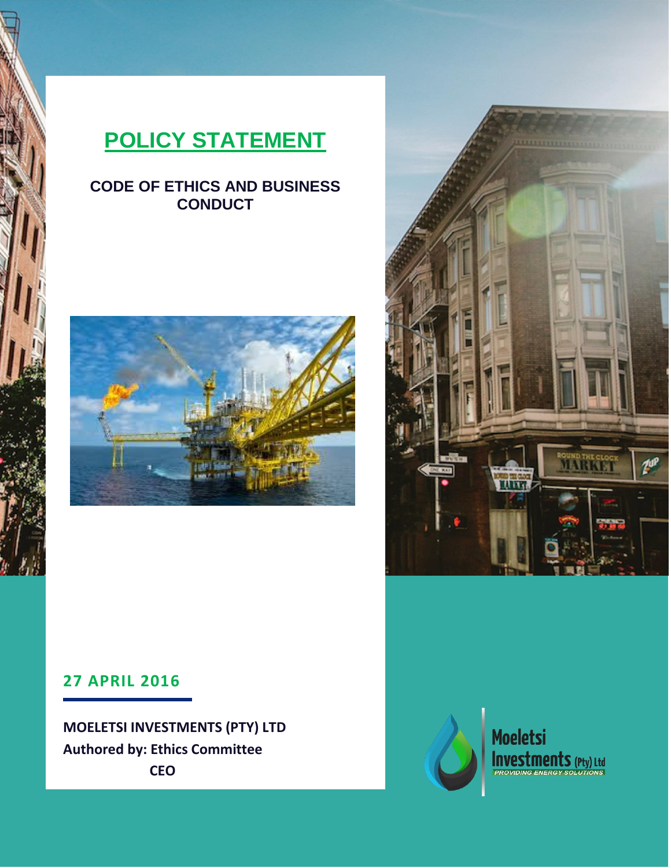# **POLICY STATEMENT**

# **CODE OF ETHICS AND BUSINESS CONDUCT**





# **27 APRIL 2016**

**MOELETSI INVESTMENTS (PTY) LTD Authored by: Ethics Committee CEO**



**Moeletsi Investments** (Pty) Ltd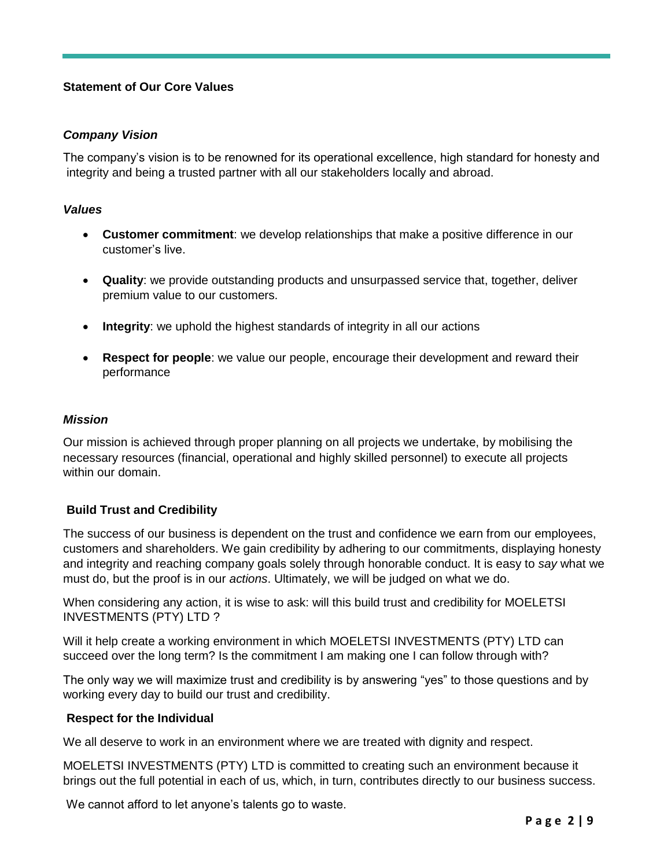# **Statement of Our Core Values**

#### *Company Vision*

The company's vision is to be renowned for its operational excellence, high standard for honesty and integrity and being a trusted partner with all our stakeholders locally and abroad.

#### *Values*

- **Customer commitment**: we develop relationships that make a positive difference in our customer's live.
- **Quality**: we provide outstanding products and unsurpassed service that, together, deliver premium value to our customers.
- **Integrity**: we uphold the highest standards of integrity in all our actions
- **Respect for people**: we value our people, encourage their development and reward their performance

#### *Mission*

Our mission is achieved through proper planning on all projects we undertake, by mobilising the necessary resources (financial, operational and highly skilled personnel) to execute all projects within our domain.

#### **Build Trust and Credibility**

The success of our business is dependent on the trust and confidence we earn from our employees, customers and shareholders. We gain credibility by adhering to our commitments, displaying honesty and integrity and reaching company goals solely through honorable conduct. It is easy to *say* what we must do, but the proof is in our *actions*. Ultimately, we will be judged on what we do.

When considering any action, it is wise to ask: will this build trust and credibility for MOELETSI INVESTMENTS (PTY) LTD ?

Will it help create a working environment in which MOELETSI INVESTMENTS (PTY) LTD can succeed over the long term? Is the commitment I am making one I can follow through with?

The only way we will maximize trust and credibility is by answering "yes" to those questions and by working every day to build our trust and credibility.

#### **Respect for the Individual**

We all deserve to work in an environment where we are treated with dignity and respect.

MOELETSI INVESTMENTS (PTY) LTD is committed to creating such an environment because it brings out the full potential in each of us, which, in turn, contributes directly to our business success.

We cannot afford to let anyone's talents go to waste.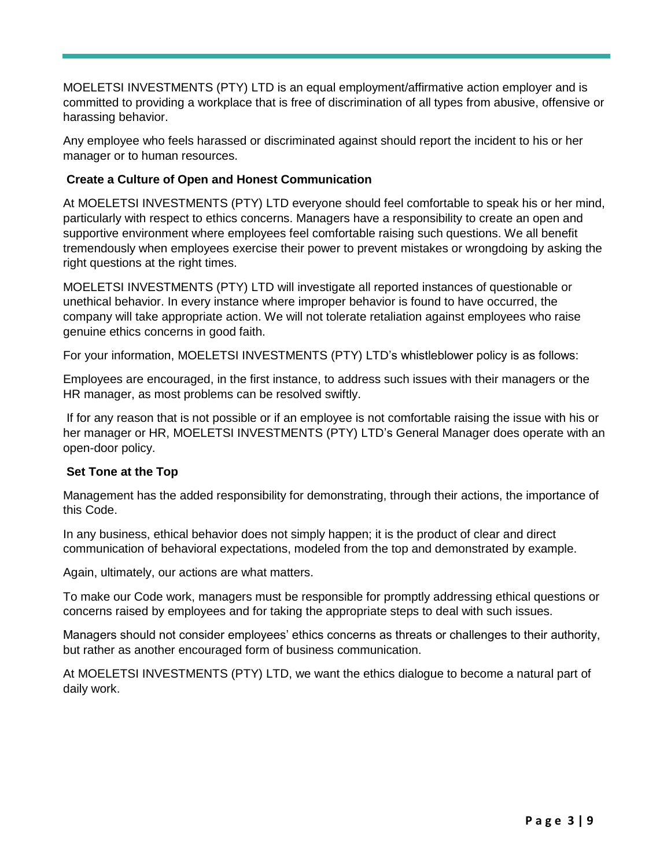MOELETSI INVESTMENTS (PTY) LTD is an equal employment/affirmative action employer and is committed to providing a workplace that is free of discrimination of all types from abusive, offensive or harassing behavior.

Any employee who feels harassed or discriminated against should report the incident to his or her manager or to human resources.

# **Create a Culture of Open and Honest Communication**

At MOELETSI INVESTMENTS (PTY) LTD everyone should feel comfortable to speak his or her mind, particularly with respect to ethics concerns. Managers have a responsibility to create an open and supportive environment where employees feel comfortable raising such questions. We all benefit tremendously when employees exercise their power to prevent mistakes or wrongdoing by asking the right questions at the right times.

MOELETSI INVESTMENTS (PTY) LTD will investigate all reported instances of questionable or unethical behavior. In every instance where improper behavior is found to have occurred, the company will take appropriate action. We will not tolerate retaliation against employees who raise genuine ethics concerns in good faith.

For your information, MOELETSI INVESTMENTS (PTY) LTD's whistleblower policy is as follows:

Employees are encouraged, in the first instance, to address such issues with their managers or the HR manager, as most problems can be resolved swiftly.

If for any reason that is not possible or if an employee is not comfortable raising the issue with his or her manager or HR, MOELETSI INVESTMENTS (PTY) LTD's General Manager does operate with an open-door policy.

#### **Set Tone at the Top**

Management has the added responsibility for demonstrating, through their actions, the importance of this Code.

In any business, ethical behavior does not simply happen; it is the product of clear and direct communication of behavioral expectations, modeled from the top and demonstrated by example.

Again, ultimately, our actions are what matters.

To make our Code work, managers must be responsible for promptly addressing ethical questions or concerns raised by employees and for taking the appropriate steps to deal with such issues.

Managers should not consider employees' ethics concerns as threats or challenges to their authority, but rather as another encouraged form of business communication.

At MOELETSI INVESTMENTS (PTY) LTD, we want the ethics dialogue to become a natural part of daily work.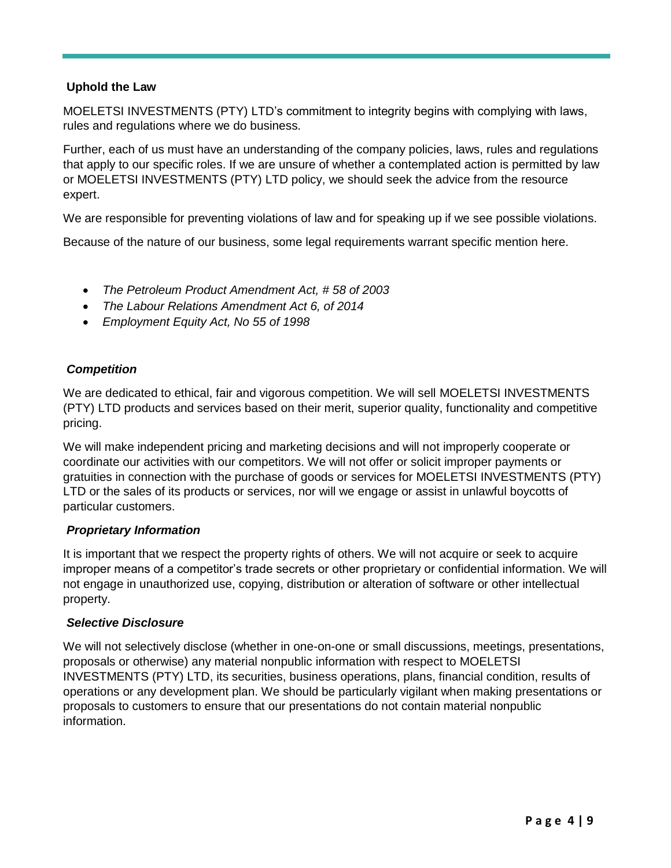#### **Uphold the Law**

MOELETSI INVESTMENTS (PTY) LTD's commitment to integrity begins with complying with laws, rules and regulations where we do business.

Further, each of us must have an understanding of the company policies, laws, rules and regulations that apply to our specific roles. If we are unsure of whether a contemplated action is permitted by law or MOELETSI INVESTMENTS (PTY) LTD policy, we should seek the advice from the resource expert.

We are responsible for preventing violations of law and for speaking up if we see possible violations.

Because of the nature of our business, some legal requirements warrant specific mention here.

- *The Petroleum Product Amendment Act, # 58 of 2003*
- *The Labour Relations Amendment Act 6, of 2014*
- *Employment Equity Act, No 55 of 1998*

# *Competition*

We are dedicated to ethical, fair and vigorous competition. We will sell MOELETSI INVESTMENTS (PTY) LTD products and services based on their merit, superior quality, functionality and competitive pricing.

We will make independent pricing and marketing decisions and will not improperly cooperate or coordinate our activities with our competitors. We will not offer or solicit improper payments or gratuities in connection with the purchase of goods or services for MOELETSI INVESTMENTS (PTY) LTD or the sales of its products or services, nor will we engage or assist in unlawful boycotts of particular customers.

#### *Proprietary Information*

It is important that we respect the property rights of others. We will not acquire or seek to acquire improper means of a competitor's trade secrets or other proprietary or confidential information. We will not engage in unauthorized use, copying, distribution or alteration of software or other intellectual property.

#### *Selective Disclosure*

We will not selectively disclose (whether in one-on-one or small discussions, meetings, presentations, proposals or otherwise) any material nonpublic information with respect to MOELETSI INVESTMENTS (PTY) LTD, its securities, business operations, plans, financial condition, results of operations or any development plan. We should be particularly vigilant when making presentations or proposals to customers to ensure that our presentations do not contain material nonpublic information.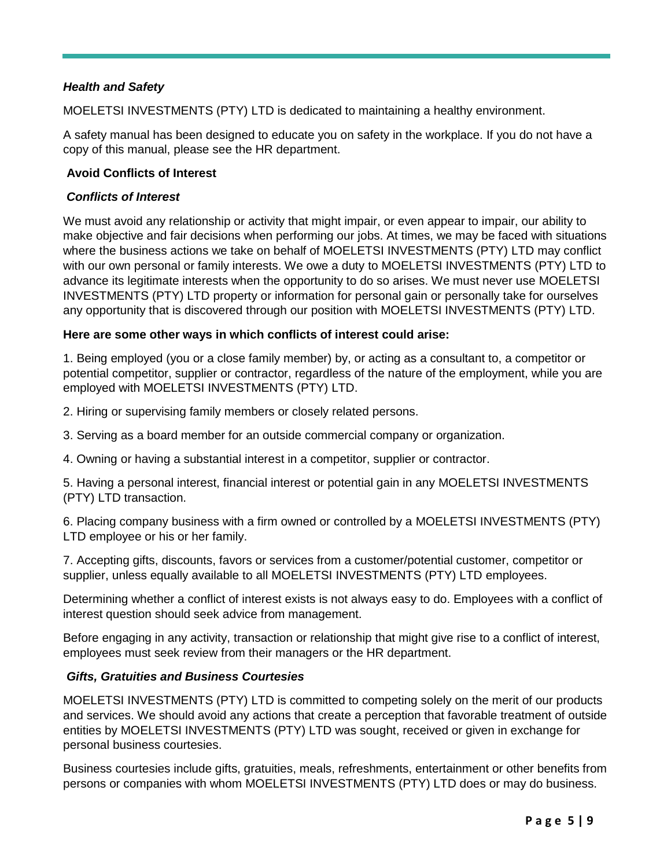# *Health and Safety*

MOELETSI INVESTMENTS (PTY) LTD is dedicated to maintaining a healthy environment.

A safety manual has been designed to educate you on safety in the workplace. If you do not have a copy of this manual, please see the HR department.

#### **Avoid Conflicts of Interest**

#### *Conflicts of Interest*

We must avoid any relationship or activity that might impair, or even appear to impair, our ability to make objective and fair decisions when performing our jobs. At times, we may be faced with situations where the business actions we take on behalf of MOELETSI INVESTMENTS (PTY) LTD may conflict with our own personal or family interests. We owe a duty to MOELETSI INVESTMENTS (PTY) LTD to advance its legitimate interests when the opportunity to do so arises. We must never use MOELETSI INVESTMENTS (PTY) LTD property or information for personal gain or personally take for ourselves any opportunity that is discovered through our position with MOELETSI INVESTMENTS (PTY) LTD.

#### **Here are some other ways in which conflicts of interest could arise:**

1. Being employed (you or a close family member) by, or acting as a consultant to, a competitor or potential competitor, supplier or contractor, regardless of the nature of the employment, while you are employed with MOELETSI INVESTMENTS (PTY) LTD.

2. Hiring or supervising family members or closely related persons.

- 3. Serving as a board member for an outside commercial company or organization.
- 4. Owning or having a substantial interest in a competitor, supplier or contractor.

5. Having a personal interest, financial interest or potential gain in any MOELETSI INVESTMENTS (PTY) LTD transaction.

6. Placing company business with a firm owned or controlled by a MOELETSI INVESTMENTS (PTY) LTD employee or his or her family.

7. Accepting gifts, discounts, favors or services from a customer/potential customer, competitor or supplier, unless equally available to all MOELETSI INVESTMENTS (PTY) LTD employees.

Determining whether a conflict of interest exists is not always easy to do. Employees with a conflict of interest question should seek advice from management.

Before engaging in any activity, transaction or relationship that might give rise to a conflict of interest, employees must seek review from their managers or the HR department.

#### *Gifts, Gratuities and Business Courtesies*

MOELETSI INVESTMENTS (PTY) LTD is committed to competing solely on the merit of our products and services. We should avoid any actions that create a perception that favorable treatment of outside entities by MOELETSI INVESTMENTS (PTY) LTD was sought, received or given in exchange for personal business courtesies.

Business courtesies include gifts, gratuities, meals, refreshments, entertainment or other benefits from persons or companies with whom MOELETSI INVESTMENTS (PTY) LTD does or may do business.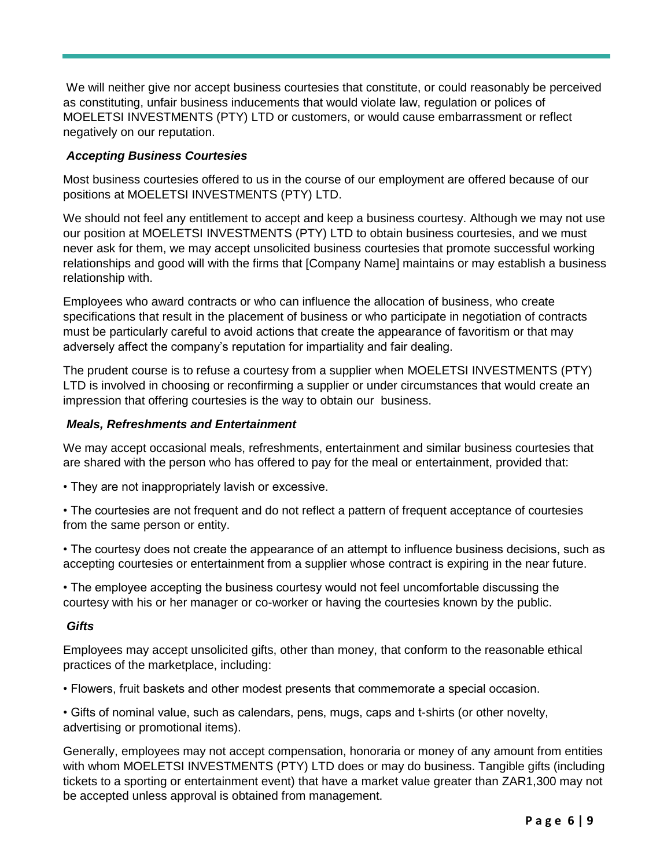We will neither give nor accept business courtesies that constitute, or could reasonably be perceived as constituting, unfair business inducements that would violate law, regulation or polices of MOELETSI INVESTMENTS (PTY) LTD or customers, or would cause embarrassment or reflect negatively on our reputation.

#### *Accepting Business Courtesies*

Most business courtesies offered to us in the course of our employment are offered because of our positions at MOELETSI INVESTMENTS (PTY) LTD.

We should not feel any entitlement to accept and keep a business courtesy. Although we may not use our position at MOELETSI INVESTMENTS (PTY) LTD to obtain business courtesies, and we must never ask for them, we may accept unsolicited business courtesies that promote successful working relationships and good will with the firms that [Company Name] maintains or may establish a business relationship with.

Employees who award contracts or who can influence the allocation of business, who create specifications that result in the placement of business or who participate in negotiation of contracts must be particularly careful to avoid actions that create the appearance of favoritism or that may adversely affect the company's reputation for impartiality and fair dealing.

The prudent course is to refuse a courtesy from a supplier when MOELETSI INVESTMENTS (PTY) LTD is involved in choosing or reconfirming a supplier or under circumstances that would create an impression that offering courtesies is the way to obtain our business.

#### *Meals, Refreshments and Entertainment*

We may accept occasional meals, refreshments, entertainment and similar business courtesies that are shared with the person who has offered to pay for the meal or entertainment, provided that:

- They are not inappropriately lavish or excessive.
- The courtesies are not frequent and do not reflect a pattern of frequent acceptance of courtesies from the same person or entity.

• The courtesy does not create the appearance of an attempt to influence business decisions, such as accepting courtesies or entertainment from a supplier whose contract is expiring in the near future.

• The employee accepting the business courtesy would not feel uncomfortable discussing the courtesy with his or her manager or co-worker or having the courtesies known by the public.

#### *Gifts*

Employees may accept unsolicited gifts, other than money, that conform to the reasonable ethical practices of the marketplace, including:

• Flowers, fruit baskets and other modest presents that commemorate a special occasion.

• Gifts of nominal value, such as calendars, pens, mugs, caps and t-shirts (or other novelty, advertising or promotional items).

Generally, employees may not accept compensation, honoraria or money of any amount from entities with whom MOELETSI INVESTMENTS (PTY) LTD does or may do business. Tangible gifts (including tickets to a sporting or entertainment event) that have a market value greater than ZAR1,300 may not be accepted unless approval is obtained from management.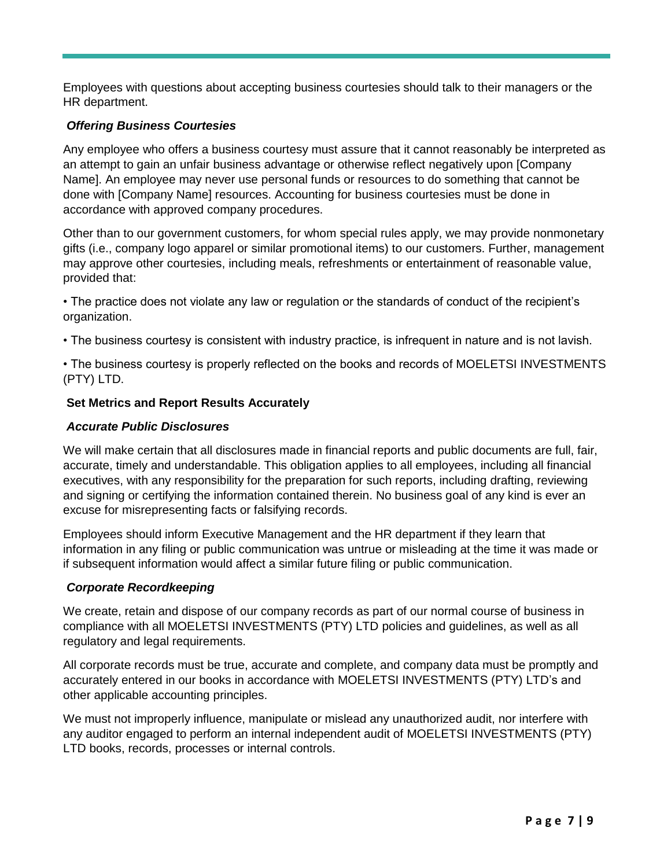Employees with questions about accepting business courtesies should talk to their managers or the HR department.

# *Offering Business Courtesies*

Any employee who offers a business courtesy must assure that it cannot reasonably be interpreted as an attempt to gain an unfair business advantage or otherwise reflect negatively upon [Company Name]. An employee may never use personal funds or resources to do something that cannot be done with [Company Name] resources. Accounting for business courtesies must be done in accordance with approved company procedures.

Other than to our government customers, for whom special rules apply, we may provide nonmonetary gifts (i.e., company logo apparel or similar promotional items) to our customers. Further, management may approve other courtesies, including meals, refreshments or entertainment of reasonable value, provided that:

• The practice does not violate any law or regulation or the standards of conduct of the recipient's organization.

• The business courtesy is consistent with industry practice, is infrequent in nature and is not lavish.

• The business courtesy is properly reflected on the books and records of MOELETSI INVESTMENTS (PTY) LTD.

#### **Set Metrics and Report Results Accurately**

#### *Accurate Public Disclosures*

We will make certain that all disclosures made in financial reports and public documents are full, fair, accurate, timely and understandable. This obligation applies to all employees, including all financial executives, with any responsibility for the preparation for such reports, including drafting, reviewing and signing or certifying the information contained therein. No business goal of any kind is ever an excuse for misrepresenting facts or falsifying records.

Employees should inform Executive Management and the HR department if they learn that information in any filing or public communication was untrue or misleading at the time it was made or if subsequent information would affect a similar future filing or public communication.

#### *Corporate Recordkeeping*

We create, retain and dispose of our company records as part of our normal course of business in compliance with all MOELETSI INVESTMENTS (PTY) LTD policies and guidelines, as well as all regulatory and legal requirements.

All corporate records must be true, accurate and complete, and company data must be promptly and accurately entered in our books in accordance with MOELETSI INVESTMENTS (PTY) LTD's and other applicable accounting principles.

We must not improperly influence, manipulate or mislead any unauthorized audit, nor interfere with any auditor engaged to perform an internal independent audit of MOELETSI INVESTMENTS (PTY) LTD books, records, processes or internal controls.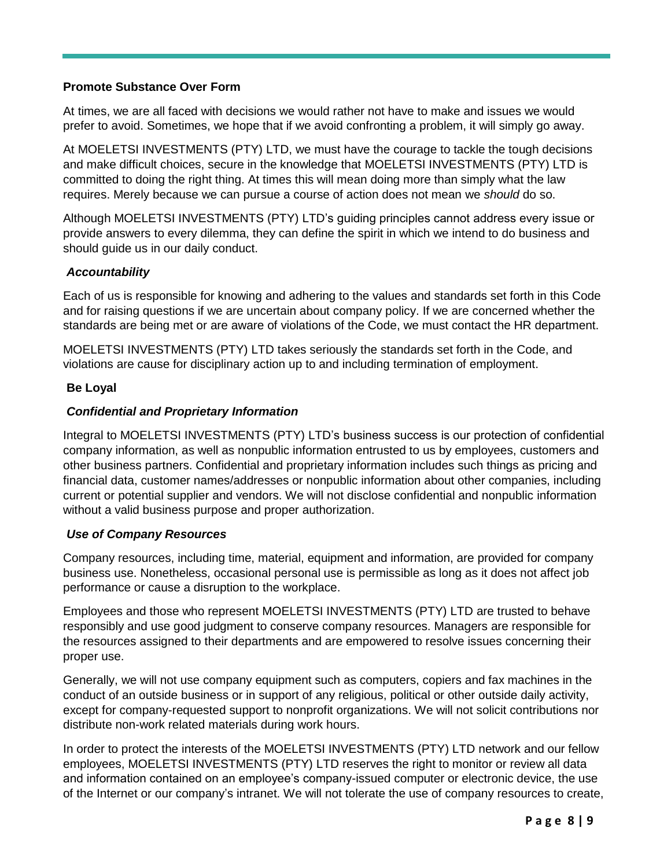### **Promote Substance Over Form**

At times, we are all faced with decisions we would rather not have to make and issues we would prefer to avoid. Sometimes, we hope that if we avoid confronting a problem, it will simply go away.

At MOELETSI INVESTMENTS (PTY) LTD, we must have the courage to tackle the tough decisions and make difficult choices, secure in the knowledge that MOELETSI INVESTMENTS (PTY) LTD is committed to doing the right thing. At times this will mean doing more than simply what the law requires. Merely because we can pursue a course of action does not mean we *should* do so.

Although MOELETSI INVESTMENTS (PTY) LTD's guiding principles cannot address every issue or provide answers to every dilemma, they can define the spirit in which we intend to do business and should guide us in our daily conduct.

# *Accountability*

Each of us is responsible for knowing and adhering to the values and standards set forth in this Code and for raising questions if we are uncertain about company policy. If we are concerned whether the standards are being met or are aware of violations of the Code, we must contact the HR department.

MOELETSI INVESTMENTS (PTY) LTD takes seriously the standards set forth in the Code, and violations are cause for disciplinary action up to and including termination of employment.

# **Be Loyal**

# *Confidential and Proprietary Information*

Integral to MOELETSI INVESTMENTS (PTY) LTD's business success is our protection of confidential company information, as well as nonpublic information entrusted to us by employees, customers and other business partners. Confidential and proprietary information includes such things as pricing and financial data, customer names/addresses or nonpublic information about other companies, including current or potential supplier and vendors. We will not disclose confidential and nonpublic information without a valid business purpose and proper authorization.

#### *Use of Company Resources*

Company resources, including time, material, equipment and information, are provided for company business use. Nonetheless, occasional personal use is permissible as long as it does not affect job performance or cause a disruption to the workplace.

Employees and those who represent MOELETSI INVESTMENTS (PTY) LTD are trusted to behave responsibly and use good judgment to conserve company resources. Managers are responsible for the resources assigned to their departments and are empowered to resolve issues concerning their proper use.

Generally, we will not use company equipment such as computers, copiers and fax machines in the conduct of an outside business or in support of any religious, political or other outside daily activity, except for company-requested support to nonprofit organizations. We will not solicit contributions nor distribute non-work related materials during work hours.

In order to protect the interests of the MOELETSI INVESTMENTS (PTY) LTD network and our fellow employees, MOELETSI INVESTMENTS (PTY) LTD reserves the right to monitor or review all data and information contained on an employee's company-issued computer or electronic device, the use of the Internet or our company's intranet. We will not tolerate the use of company resources to create,